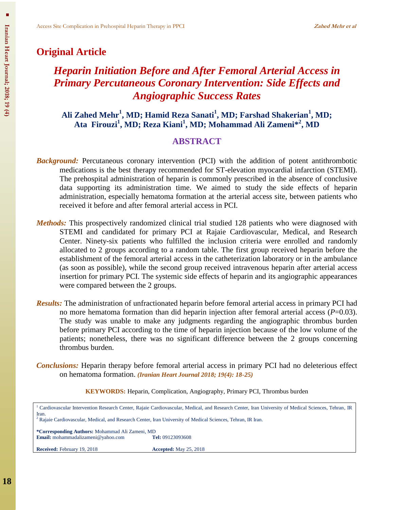## **Original Article**

# *Heparin Initiation Before and After Femoral Arterial Access in Primary Percutaneous Coronary Intervention: Side Effects and Angiographic Success Rates*

**Ali Zahed Mehr<sup>1</sup> , MD; Hamid Reza Sanati<sup>1</sup> , MD; Farshad Shakerian<sup>1</sup> , MD; Ata Firouzi<sup>1</sup> , MD; Reza Kiani<sup>1</sup> , MD; Mohammad Ali Zameni\* 2 , MD**

## **ABSTRACT**

- **Background:** Percutaneous coronary intervention (PCI) with the addition of potent antithrombotic medications is the best therapy recommended for ST-elevation myocardial infarction (STEMI). The prehospital administration of heparin is commonly prescribed in the absence of conclusive data supporting its administration time. We aimed to study the side effects of heparin administration, especially hematoma formation at the arterial access site, between patients who received it before and after femoral arterial access in PCI.
- *Methods:* This prospectively randomized clinical trial studied 128 patients who were diagnosed with STEMI and candidated for primary PCI at Rajaie Cardiovascular, Medical, and Research Center. Ninety-six patients who fulfilled the inclusion criteria were enrolled and randomly allocated to 2 groups according to a random table. The first group received heparin before the establishment of the femoral arterial access in the catheterization laboratory or in the ambulance (as soon as possible), while the second group received intravenous heparin after arterial access insertion for primary PCI. The systemic side effects of heparin and its angiographic appearances were compared between the 2 groups.
- *Results:* The administration of unfractionated heparin before femoral arterial access in primary PCI had no more hematoma formation than did heparin injection after femoral arterial access (*P*=0.03). The study was unable to make any judgments regarding the angiographic thrombus burden before primary PCI according to the time of heparin injection because of the low volume of the patients; nonetheless, there was no significant difference between the 2 groups concerning thrombus burden.

*Conclusions:* Heparin therapy before femoral arterial access in primary PCI had no deleterious effect on hematoma formation. *(Iranian Heart Journal 2018; 19(4): 18-25)*

**KEYWORDS:** Heparin, Complication, Angiography, Primary PCI, Thrombus burden

| Iran.                                                                                                                   | <sup>1</sup> Cardiovascular Intervention Research Center, Rajaie Cardiovascular, Medical, and Research Center, Iran University of Medical Sciences, Tehran, IR |  |  |  |
|-------------------------------------------------------------------------------------------------------------------------|----------------------------------------------------------------------------------------------------------------------------------------------------------------|--|--|--|
| <sup>2</sup> Rajaie Cardiovascular, Medical, and Research Center, Iran University of Medical Sciences, Tehran, IR Iran. |                                                                                                                                                                |  |  |  |
| *Corresponding Authors: Mohammad Ali Zameni, MD<br><b>Email:</b> mohammadalizameni@yahoo.com<br><b>Tel:</b> 09123093608 |                                                                                                                                                                |  |  |  |
| <b>Received:</b> February 19, 2018                                                                                      | <b>Accepted:</b> May 25, 2018                                                                                                                                  |  |  |  |
|                                                                                                                         |                                                                                                                                                                |  |  |  |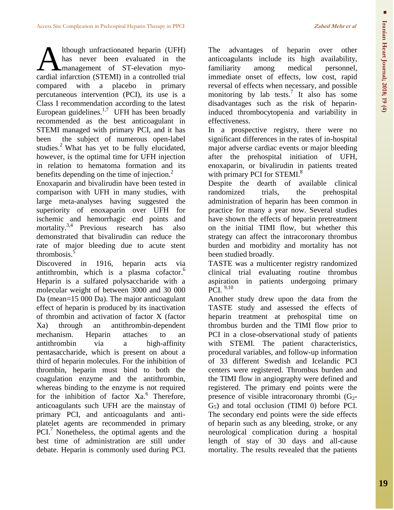lthough unfractionated heparin (UFH) has never been evaluated in the **A** management of ST-elevation myo-Mas never been evaluated in the management of ST-elevation myocardial infarction (STEMI) in a controlled trial compared with a placebo in primary percutaneous intervention (PCI), its use is a Class I recommendation according to the latest European guidelines. $1,7$  UFH has been broadly recommended as the best anticoagulant in STEMI managed with primary PCI, and it has been the subject of numerous open-label studies.<sup>2</sup> What has yet to be fully elucidated, however, is the optimal time for UFH injection in relation to hematoma formation and its benefits depending on the time of injection.<sup>2</sup>

Enoxaparin and bivalirudin have been tested in comparison with UFH in many studies, with large meta-analyses having suggested the superiority of enoxaparin over UFH for ischemic and hemorrhagic end points and mortality. 3,4 Previous research has also demonstrated that bivalirudin can reduce the rate of major bleeding due to acute stent thrombosis.<sup>5</sup>

Discovered in 1916, heparin acts via antithrombin, which is a plasma cofactor.<sup>6</sup> Heparin is a sulfated polysaccharide with a molecular weight of between 3000 and 30 000 Da (mean=15 000 Da). The major anticoagulant effect of heparin is produced by its inactivation of thrombin and activation of factor X (factor Xa) through an antithrombin-dependent mechanism. Heparin attaches to an antithrombin via a high-affinity pentasaccharide, which is present on about a third of heparin molecules. For the inhibition of thrombin, heparin must bind to both the coagulation enzyme and the antithrombin, whereas binding to the enzyme is not required for the inhibition of factor Xa.<sup>6</sup> Therefore, anticoagulants such UFH are the mainstay of primary PCI, and anticoagulants and antiplatelet agents are recommended in primary PCI.<sup>7</sup> Nonetheless, the optimal agents and the best time of administration are still under debate. Heparin is commonly used during PCI.

The advantages of heparin over other anticoagulants include its high availability, familiarity among medical personnel, immediate onset of effects, low cost, rapid reversal of effects when necessary, and possible monitoring by lab tests. 7 It also has some disadvantages such as the risk of heparininduced thrombocytopenia and variability in effectiveness.

In a prospective registry, there were no significant differences in the rates of in-hospital major adverse cardiac events or major bleeding after the prehospital initiation of UFH, enoxaparin, or bivalirudin in patients treated with primary PCI for STEMI.<sup>8</sup>

Despite the dearth of available clinical randomized trials, the prehospital administration of heparin has been common in practice for many a year now. Several studies have shown the effects of heparin pretreatment on the initial TIMI flow, but whether this strategy can affect the intracoronary thrombus burden and morbidity and mortality has not been studied broadly.

TASTE was a multicenter registry randomized clinical trial evaluating routine thrombus aspiration in patients undergoing primary PCI. 9,10

Another study drew upon the data from the TASTE study and assessed the effects of heparin treatment at prehospital time on thrombus burden and the TIMI flow prior to PCI in a close-observational study of patients with STEMI. The patient characteristics, procedural variables, and follow-up information of 33 different Swedish and Icelandic PCI centers were registered. Thrombus burden and the TIMI flow in angiography were defined and registered. The primary end points were the presence of visible intracoronary thrombi  $(G<sub>2</sub> G<sub>5</sub>$ ) and total occlusion (TIMI 0) before PCI. The secondary end points were the side effects of heparin such as any bleeding, stroke, or any neurological complication during a hospital length of stay of 30 days and all-cause mortality. The results revealed that the patients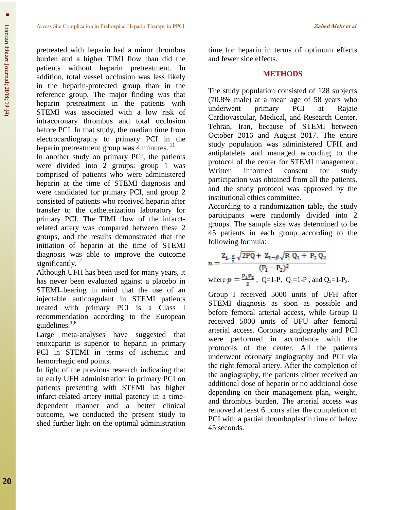pretreated with heparin had a minor thrombus burden and a higher TIMI flow than did the patients without heparin pretreatment. In addition, total vessel occlusion was less likely in the heparin-protected group than in the reference group. The major finding was that heparin pretreatment in the patients with STEMI was associated with a low risk of intracoronary thrombus and total occlusion before PCI. In that study, the median time from electrocardiography to primary PCI in the heparin pretreatment group was 4 minutes.<sup>11</sup>

In another study on primary PCI, the patients were divided into 2 groups: group 1 was comprised of patients who were administered heparin at the time of STEMI diagnosis and were candidated for primary PCI, and group 2 consisted of patients who received heparin after transfer to the catheterization laboratory for primary PCI. The TIMI flow of the infarctrelated artery was compared between these 2 groups, and the results demonstrated that the initiation of heparin at the time of STEMI diagnosis was able to improve the outcome significantly.<sup>12</sup>

Although UFH has been used for many years, it has never been evaluated against a placebo in STEMI—bearing in mind that the use of an injectable anticoagulant in STEMI patients treated with primary PCI is a Class I recommendation according to the European guidelines. 1,6

Large meta-analyses have suggested that enoxaparin is superior to heparin in primary PCI in STEMI in terms of ischemic and hemorrhagic end points.

In light of the previous research indicating that an early UFH administration in primary PCI on patients presenting with STEMI has higher infarct-related artery initial patency in a timedependent manner and a better clinical outcome, we conducted the present study to shed further light on the optimal administration time for heparin in terms of optimum effects and fewer side effects.

#### **METHODS**

The study population consisted of 128 subjects (70.8% male) at a mean age of 58 years who underwent primary PCI at Rajaie Cardiovascular, Medical, and Research Center, Tehran, Iran, because of STEMI between October 2016 and August 2017. The entire study population was administered UFH and antiplatelets and managed according to the protocol of the center for STEMI management. Written informed consent for study participation was obtained from all the patients, and the study protocol was approved by the institutional ethics committee.

According to a randomization table, the study participants were randomly divided into 2 groups. The sample size was determined to be 45 patients in each group according to the following formula:

$$
n = \frac{Z_{1-\frac{\alpha}{2}}\sqrt{2PQ} + Z_{1-\beta}\sqrt{P_1 Q_1 + P_2 Q_2}}{(P_1 - P_2)^2}
$$
  
where  $p = \frac{P_1 P_2}{2}$ , Q=1-P, Q<sub>1</sub>=1-P, and Q<sub>2</sub>=1-P<sub>2</sub>.

Group I received 5000 units of UFH after STEMI diagnosis as soon as possible and before femoral arterial access, while Group II received 5000 units of UFU after femoral arterial access. Coronary angiography and PCI were performed in accordance with the protocols of the center. All the patients underwent coronary angiography and PCI via the right femoral artery. After the completion of the angiography, the patients either received an additional dose of heparin or no additional dose depending on their management plan, weight, and thrombus burden. The arterial access was removed at least 6 hours after the completion of PCI with a partial thromboplastin time of below 45 seconds.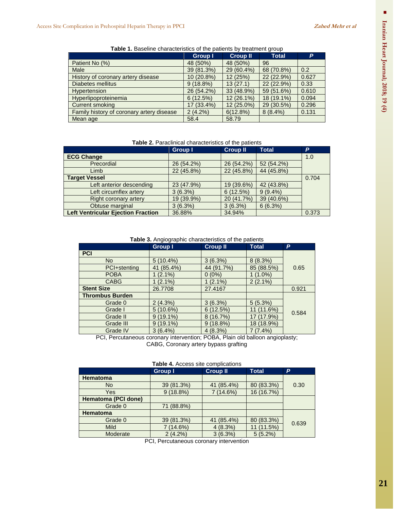| <b>Table 1:</b> Davoillio onaraotonotioo or the pationto by trouthform group |             |                 |              |       |  |
|------------------------------------------------------------------------------|-------------|-----------------|--------------|-------|--|
|                                                                              | Group I     | <b>Croup II</b> | <b>Total</b> | Þ     |  |
| Patient No (%)                                                               | 48 (50%)    | 48 (50%)        | 96           |       |  |
| <b>Male</b>                                                                  | 39 (81.3%)  | 29 (60.4%)      | 68 (70.8%)   | 0.2   |  |
| History of coronary artery disease                                           | 10 (20.8%)  | 12 (25%)        | 22 (22.9%)   | 0.627 |  |
| <b>Diabetes mellitus</b>                                                     | $9(18.8\%)$ | 13(27.1)        | 22 (22.9%)   | 0.33  |  |
| <b>Hypertension</b>                                                          | 26 (54.2%)  | 33 (48.9%)      | 59 (51.6%)   | 0.610 |  |
| Hyperlipoproteinemia                                                         | 6(12.5%)    | 12 (26.1%)      | 18 (19.1%)   | 0.094 |  |
| <b>Current smoking</b>                                                       | 17 (33.4%)  | 12 (25.0%)      | 29 (30.5%)   | 0.296 |  |
| Family history of coronary artery disease                                    | $2(4.2\%)$  | 6(12.8%)        | $8(8.4\%)$   | 0.131 |  |
| Mean age                                                                     | 58.4        | 58.79           |              |       |  |

**Table 1.** Baseline characteristics of the patients by treatment group

#### **Table 2.** Paraclinical characteristics of the patients

|                                           | <b>Group I</b> | <b>Croup II</b> | <b>Total</b> | P.    |
|-------------------------------------------|----------------|-----------------|--------------|-------|
| <b>ECG Change</b>                         |                |                 |              | 1.0   |
| Precordial                                | 26 (54.2%)     | 26 (54.2%)      | 52 (54.2%)   |       |
| Limb                                      | 22 (45.8%)     | 22 (45.8%)      | 44 (45.8%)   |       |
| <b>Target Vessel</b>                      |                |                 |              | 0.704 |
| Left anterior descending                  | 23 (47.9%)     | 19 (39.6%)      | 42 (43.8%)   |       |
| Left circumflex artery                    | 3(6.3%)        | 6(12.5%)        | $9(9.4\%)$   |       |
| Right coronary artery                     | 19 (39.9%)     | 20 (41.7%)      | 39 (40.6%)   |       |
| Obtuse marginal                           | 3(6.3%)        | 3(6.3%)         | 6(6.3%)      |       |
| <b>Left Ventricular Ejection Fraction</b> | 36.88%         | 34.94%          |              | 0.373 |

**Table 3.** Angiographic characteristics of the patients

|                        | <b>Group I</b> | <b>Croup II</b> | <b>Total</b>     | P          |
|------------------------|----------------|-----------------|------------------|------------|
| <b>PCI</b>             |                |                 |                  |            |
| <b>No</b>              | $5(10.4\%)$    | 3(6.3%)         | 8(8.3%)          |            |
| PCI+stenting           | 41 (85.4%)     | 44 (91.7%)      | 85 (88.5%)       | 0.65       |
| <b>POBA</b>            | $(2.1\%)$      | $0(0\%)$        | 1 (1.0%)         |            |
| <b>CABG</b>            | $(2.1\%)$      | $1(2.1\%)$      | $2(2.1\%)$       |            |
| <b>Stent Size</b>      | 26.7708        | 27.4167         |                  | 0.921      |
| <b>Thrombus Burden</b> |                |                 |                  |            |
| Grade 0                | $2(4.3\%)$     | 3(6.3%)         | $5(5.3\%)$       |            |
| Grade I                | $5(10.6\%)$    | 6(12.5%)        | $(11.6\%)$<br>11 |            |
| Grade II               | $9(19.1\%)$    | 8(16.7%)        | 17 (17.9%)       |            |
| Grade III              | $9(19.1\%)$    | $9(18.8\%)$     | 18 (18.9%)       |            |
| Grade IV               | $3(6.4\%)$     | 4(8.3%)         | 7(7.4%)          |            |
| .                      | . .            | -----           | .                | 0.584<br>. |

PCI, Percutaneous coronary intervention; POBA, Plain old balloon angioplasty; CABG, Coronary artery bypass grafting

| Table 4. Access site complications |
|------------------------------------|
|------------------------------------|

|                     | <b>Group I</b> | <b>Croup II</b>  | <b>Total</b> | P.    |  |
|---------------------|----------------|------------------|--------------|-------|--|
| <b>Hematoma</b>     |                |                  |              |       |  |
| No.                 | 39 (81.3%)     | $(85.4\%)$<br>41 | 80 (83.3%)   | 0.30  |  |
| Yes                 | 9(18.8%)       | 7 (14.6%)        | 16 (16.7%)   |       |  |
| Hematoma (PCI done) |                |                  |              |       |  |
| Grade 0             | 71 (88.8%)     |                  |              |       |  |
| <b>Hematoma</b>     |                |                  |              |       |  |
| Grade 0             | 39 (81.3%)     | $(85.4\%)$<br>41 | 80 (83.3%)   | 0.639 |  |
| <b>Mild</b>         | $(14.6\%)$     | 4(8.3%)          | 11 (11.5%)   |       |  |
| Moderate            | $2(4.2\%)$     | $3(6.3\%)$       | $5(5.2\%)$   |       |  |

PCI, Percutaneous coronary intervention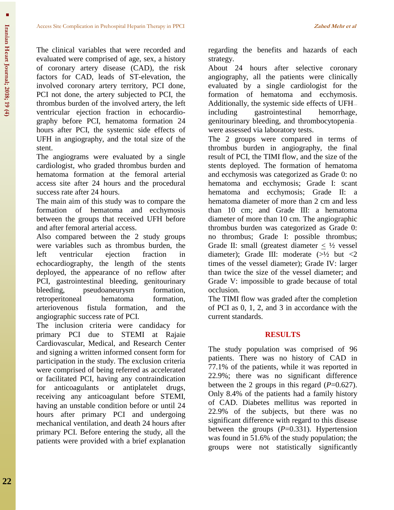The clinical variables that were recorded and evaluated were comprised of age, sex, a history of coronary artery disease (CAD), the risk factors for CAD, leads of ST-elevation, the involved coronary artery territory, PCI done, PCI not done, the artery subjected to PCI, the thrombus burden of the involved artery, the left ventricular ejection fraction in echocardiography before PCI, hematoma formation 24 hours after PCI, the systemic side effects of UFH in angiography, and the total size of the stent.

The angiograms were evaluated by a single cardiologist, who graded thrombus burden and hematoma formation at the femoral arterial access site after 24 hours and the procedural success rate after 24 hours.

The main aim of this study was to compare the formation of hematoma and ecchymosis between the groups that received UFH before and after femoral arterial access.

Also compared between the 2 study groups were variables such as thrombus burden, the left ventricular ejection fraction in echocardiography, the length of the stents deployed, the appearance of no reflow after PCI, gastrointestinal bleeding, genitourinary bleeding, pseudoaneurysm formation, retroperitoneal hematoma formation, arteriovenous fistula formation, and the angiographic success rate of PCI.

The inclusion criteria were candidacy for primary PCI due to STEMI at Rajaie Cardiovascular, Medical, and Research Center and signing a written informed consent form for participation in the study. The exclusion criteria were comprised of being referred as accelerated or facilitated PCI, having any contraindication for anticoagulants or antiplatelet drugs, receiving any anticoagulant before STEMI, having an unstable condition before or until 24 hours after primary PCI and undergoing mechanical ventilation, and death 24 hours after primary PCI. Before entering the study, all the patients were provided with a brief explanation regarding the benefits and hazards of each strategy.

About 24 hours after selective coronary angiography, all the patients were clinically evaluated by a single cardiologist for the formation of hematoma and ecchymosis. Additionally, the systemic side effects of UFH including gastrointestinal hemorrhage, genitourinary bleeding, and thrombocytopenia were assessed via laboratory tests.

The 2 groups were compared in terms of thrombus burden in angiography, the final result of PCI, the TIMI flow, and the size of the stents deployed. The formation of hematoma and ecchymosis was categorized as Grade 0: no hematoma and ecchymosis; Grade I: scant hematoma and ecchymosis; Grade II: a hematoma diameter of more than 2 cm and less than 10 cm; and Grade III: a hematoma diameter of more than 10 cm. The angiographic thrombus burden was categorized as Grade 0: no thrombus; Grade I: possible thrombus; Grade II: small (greatest diameter  $\langle \frac{1}{2} \rangle$  vessel diameter): Grade III: moderate  $(>\frac{1}{2})$  but  $\langle 2 \rangle$ times of the vessel diameter); Grade IV: larger than twice the size of the vessel diameter; and Grade V: impossible to grade because of total occlusion.

The TIMI flow was graded after the completion of PCI as 0, 1, 2, and 3 in accordance with the current standards.

## **RESULTS**

The study population was comprised of 96 patients. There was no history of CAD in 77.1% of the patients, while it was reported in 22.9%; there was no significant difference between the 2 groups in this regard (*P*=0.627). Only 8.4% of the patients had a family history of CAD. Diabetes mellitus was reported in 22.9% of the subjects, but there was no significant difference with regard to this disease between the groups (*P*=0.331). Hypertension was found in 51.6% of the study population; the groups were not statistically significantly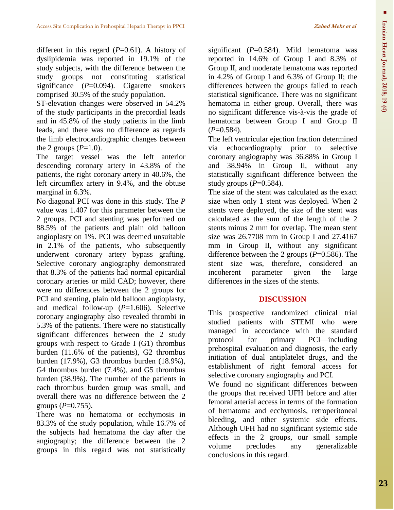different in this regard  $(P=0.61)$ . A history of dyslipidemia was reported in 19.1% of the study subjects, with the difference between the study groups not constituting statistical significance (*P*=0.094). Cigarette smokers comprised 30.5% of the study population.

ST-elevation changes were observed in 54.2% of the study participants in the precordial leads and in 45.8% of the study patients in the limb leads, and there was no difference as regards the limb electrocardiographic changes between the 2 groups  $(P=1.0)$ .

The target vessel was the left anterior descending coronary artery in 43.8% of the patients, the right coronary artery in 40.6%, the left circumflex artery in 9.4%, and the obtuse marginal in 6.3%.

No diagonal PCI was done in this study. The *P* value was 1.407 for this parameter between the 2 groups. PCI and stenting was performed on 88.5% of the patients and plain old balloon angioplasty on 1%. PCI was deemed unsuitable in 2.1% of the patients, who subsequently underwent coronary artery bypass grafting. Selective coronary angiography demonstrated that 8.3% of the patients had normal epicardial coronary arteries or mild CAD; however, there were no differences between the 2 groups for PCI and stenting, plain old balloon angioplasty, and medical follow-up (*P*=1.606). Selective coronary angiography also revealed thrombi in 5.3% of the patients. There were no statistically significant differences between the 2 study groups with respect to Grade I (G1) thrombus burden (11.6% of the patients), G2 thrombus burden (17.9%), G3 thrombus burden (18.9%), G4 thrombus burden (7.4%), and G5 thrombus burden (38.9%). The number of the patients in each thrombus burden group was small, and overall there was no difference between the 2 groups  $(P=0.755)$ .

There was no hematoma or ecchymosis in 83.3% of the study population, while 16.7% of the subjects had hematoma the day after the angiography; the difference between the 2 groups in this regard was not statistically significant (*P*=0.584). Mild hematoma was reported in 14.6% of Group I and 8.3% of Group II, and moderate hematoma was reported in 4.2% of Group I and 6.3% of Group II; the differences between the groups failed to reach statistical significance. There was no significant hematoma in either group. Overall, there was no significant difference vis-à-vis the grade of hematoma between Group I and Group II  $(P=0.584)$ .

The left ventricular ejection fraction determined via echocardiography prior to selective coronary angiography was 36.88% in Group I and 38.94% in Group II, without any statistically significant difference between the study groups  $(P=0.584)$ .

The size of the stent was calculated as the exact size when only 1 stent was deployed. When 2 stents were deployed, the size of the stent was calculated as the sum of the length of the 2 stents minus 2 mm for overlap. The mean stent size was 26.7708 mm in Group I and 27.4167 mm in Group II, without any significant difference between the 2 groups (*P*=0.586). The stent size was, therefore, considered an incoherent parameter given the large differences in the sizes of the stents.

## **DISCUSSION**

This prospective randomized clinical trial studied patients with STEMI who were managed in accordance with the standard protocol for primary PCI—including prehospital evaluation and diagnosis, the early initiation of dual antiplatelet drugs, and the establishment of right femoral access for selective coronary angiography and PCI.

We found no significant differences between the groups that received UFH before and after femoral arterial access in terms of the formation of hematoma and ecchymosis, retroperitoneal bleeding, and other systemic side effects. Although UFH had no significant systemic side effects in the 2 groups, our small sample volume precludes any generalizable conclusions in this regard.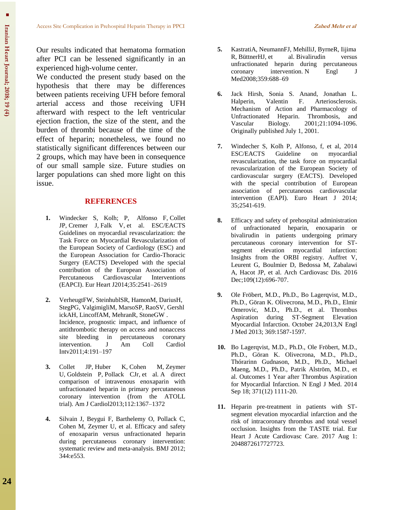Our results indicated that hematoma formation after PCI can be lessened significantly in an experienced high-volume center.

We conducted the present study based on the hypothesis that there may be differences between patients receiving UFH before femoral arterial access and those receiving UFH afterward with respect to the left ventricular ejection fraction, the size of the stent, and the burden of thrombi because of the time of the effect of heparin; nonetheless, we found no statistically significant differences between our 2 groups, which may have been in consequence of our small sample size. Future studies on larger populations can shed more light on this issue.

### **REFERENCES**

- **1.** Windecker S, Kolh; P, Alfonso F, Collet JP, Cremer J, Falk V, et al. ESC/EACTS Guidelines on myocardial revascularization: the Task Force on Myocardial Revascularization of the European Society of Cardiology (ESC) and the European Association for Cardio-Thoracic Surgery (EACTS) Developed with the special contribution of the European Association of Percutaneous Cardiovascular Interventions (EAPCI). Eur Heart J2014;35:2541–2619
- **2.** VerheugtFW, SteinhublSR, HamonM, DariusH, StegPG, ValgimigliM, MarsoSP, RaoSV, Gershl ickAH, LincoffAM, MehranR, StoneGW . Incidence, prognostic impact, and influence of antithrombotic therapy on access and nonaccess site bleeding in percutaneous coronary intervention. J Am Coll Cardiol Intv2011;4:191–197
- **3.** Collet JP, Huber K, Cohen M, Zeymer U, Goldstein P, Pollack CJr, et al. A direct comparison of intravenous enoxaparin with unfractionated heparin in primary percutaneous coronary intervention (from the ATOLL trial). Am J Cardiol2013;112:1367–1372
- **4.** Silvain J, Beygui F, Barthelemy O, Pollack C, Cohen M, Zeymer U, et al. Efficacy and safety of enoxaparin versus unfractionated heparin during percutaneous coronary intervention: systematic review and meta-analysis. BMJ 2012; 344:e553.
- **5.** KastratiA, NeumannFJ, MehilliJ, ByrneR, Iijima<br>R. BüttnerHJ, et al. Bivalirudin versus R, BüttnerHJ, et al. Bivalirudin versus unfractionated heparin during percutaneous coronary intervention. N Engl J Med2008;359:688–69
- **6.** Jack Hirsh, Sonia S. Anand, Jonathan L. Halperin, Valentin F. Arteriosclerosis. Mechanism of Action and Pharmacology of Unfractionated Heparin. Thrombosis, and Vascular Biology. 2001;21:1094-1096. Originally published July 1, 2001.
- **7.** Windecher S, Kolh P, Alfonso, f, et al, 2014 ESC/EACTS Guideline on myocardial revascularization, the task force on myocardial revascularization of the European Society of cardiovascular surgery (EACTS). Developed with the special contribution of European association of percutaneous cardiovascular intervention (EAPI). Euro Heart J 2014; 35;2541-619.
- **8.** [Efficacy and safety of prehospital administration](https://www.ncbi.nlm.nih.gov/pubmed/27818120)  [of unfractionated heparin, enoxaparin or](https://www.ncbi.nlm.nih.gov/pubmed/27818120)  [bivalirudin in patients undergoing primary](https://www.ncbi.nlm.nih.gov/pubmed/27818120)  [percutaneous coronary intervention for ST](https://www.ncbi.nlm.nih.gov/pubmed/27818120)[segment elevation myocardial infarction:](https://www.ncbi.nlm.nih.gov/pubmed/27818120)  [Insights from the ORBI registry.](https://www.ncbi.nlm.nih.gov/pubmed/27818120) Auffret V, Leurent G, Boulmier D, Bedossa M, Zabalawi A, Hacot JP, et al. Arch Cardiovasc Dis. 2016 Dec;109(12):696-707.
- **9.** Ole Fröbert, M.D., Ph.D., Bo Lagerqvist, M.D., Ph.D., Göran K. Olivecrona, M.D., Ph.D., Elmir Omerovic, M.D., Ph.D., et al. Thrombus Aspiration during ST-Segment Elevation Myocardial Infarction. October 24,2013,N Engl J Med 2013; 369:1587-1597.
- **10.** Bo Lagerqvist, M.D., Ph.D., Ole Fröbert, M.D., Ph.D., Göran K. Olivecrona, M.D., Ph.D., Thórarinn Gudnason, M.D., Ph.D., Michael Maeng, M.D., Ph.D., Patrik Alström, M.D., et al. Outcomes 1 Year after Thrombus Aspiration for Myocardial Infarction. N Engl J Med. 2014 Sep 18; 371(12) 1111-20.
- **11.** Heparin pre-treatment in patients with STsegment elevation myocardial infarction and the risk of intracoronary thrombus and total vessel occlusion. Insights from the TASTE trial. Eur Heart J Acute Cardiovasc Care. 2017 Aug 1: 2048872617727723.